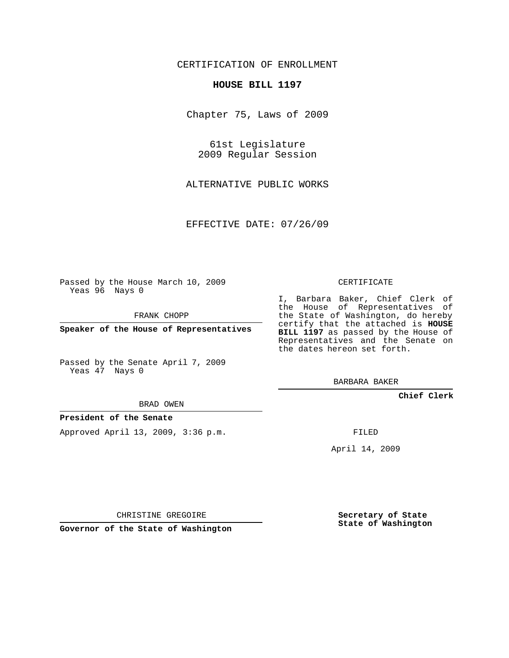## CERTIFICATION OF ENROLLMENT

#### **HOUSE BILL 1197**

Chapter 75, Laws of 2009

61st Legislature 2009 Regular Session

ALTERNATIVE PUBLIC WORKS

EFFECTIVE DATE: 07/26/09

Passed by the House March 10, 2009 Yeas 96 Nays 0

FRANK CHOPP

**Speaker of the House of Representatives**

Passed by the Senate April 7, 2009 Yeas 47 Nays 0

BRAD OWEN

### **President of the Senate**

Approved April 13, 2009, 3:36 p.m.

CERTIFICATE

I, Barbara Baker, Chief Clerk of the House of Representatives of the State of Washington, do hereby certify that the attached is **HOUSE BILL 1197** as passed by the House of Representatives and the Senate on the dates hereon set forth.

BARBARA BAKER

**Chief Clerk**

FILED

April 14, 2009

CHRISTINE GREGOIRE

**Governor of the State of Washington**

**Secretary of State State of Washington**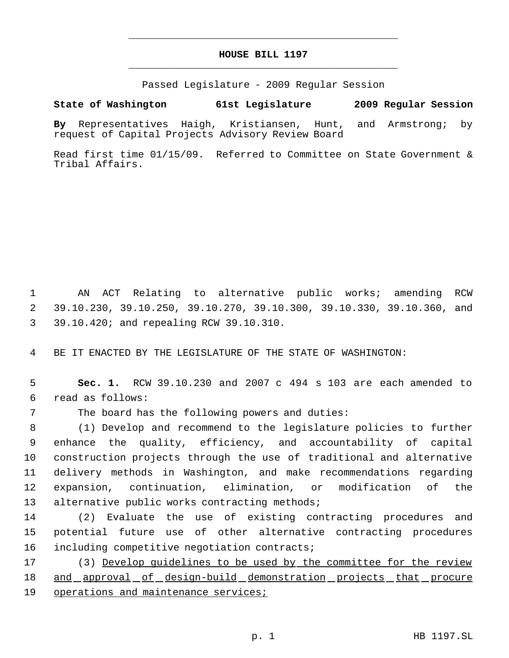# **HOUSE BILL 1197** \_\_\_\_\_\_\_\_\_\_\_\_\_\_\_\_\_\_\_\_\_\_\_\_\_\_\_\_\_\_\_\_\_\_\_\_\_\_\_\_\_\_\_\_\_

\_\_\_\_\_\_\_\_\_\_\_\_\_\_\_\_\_\_\_\_\_\_\_\_\_\_\_\_\_\_\_\_\_\_\_\_\_\_\_\_\_\_\_\_\_

Passed Legislature - 2009 Regular Session

# **State of Washington 61st Legislature 2009 Regular Session**

**By** Representatives Haigh, Kristiansen, Hunt, and Armstrong; by request of Capital Projects Advisory Review Board

Read first time 01/15/09. Referred to Committee on State Government & Tribal Affairs.

 1 AN ACT Relating to alternative public works; amending RCW 2 39.10.230, 39.10.250, 39.10.270, 39.10.300, 39.10.330, 39.10.360, and 3 39.10.420; and repealing RCW 39.10.310.

4 BE IT ENACTED BY THE LEGISLATURE OF THE STATE OF WASHINGTON:

 5 **Sec. 1.** RCW 39.10.230 and 2007 c 494 s 103 are each amended to 6 read as follows:

7 The board has the following powers and duties:

 (1) Develop and recommend to the legislature policies to further enhance the quality, efficiency, and accountability of capital construction projects through the use of traditional and alternative delivery methods in Washington, and make recommendations regarding expansion, continuation, elimination, or modification of the 13 alternative public works contracting methods;

14 (2) Evaluate the use of existing contracting procedures and 15 potential future use of other alternative contracting procedures 16 including competitive negotiation contracts;

17 (3) Develop guidelines to be used by the committee for the review 18 and approval of design-build demonstration projects that procure 19 operations and maintenance services;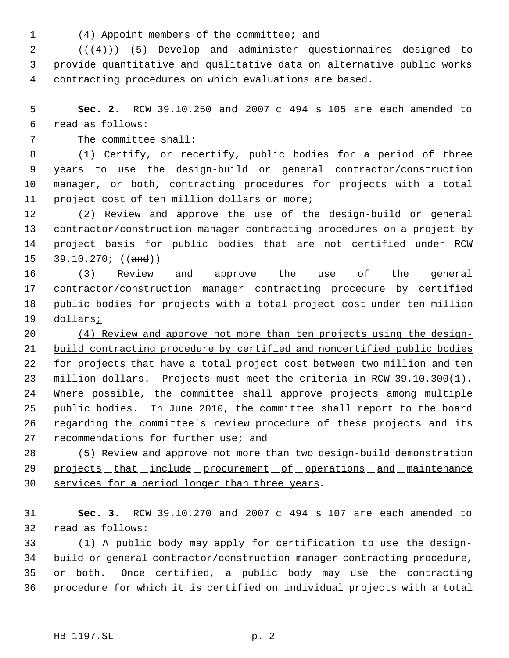(4) Appoint members of the committee; and

  $((+4))$   $(5)$  Develop and administer questionnaires designed to provide quantitative and qualitative data on alternative public works contracting procedures on which evaluations are based.

 **Sec. 2.** RCW 39.10.250 and 2007 c 494 s 105 are each amended to read as follows:

The committee shall:

 (1) Certify, or recertify, public bodies for a period of three years to use the design-build or general contractor/construction manager, or both, contracting procedures for projects with a total project cost of ten million dollars or more;

 (2) Review and approve the use of the design-build or general contractor/construction manager contracting procedures on a project by project basis for public bodies that are not certified under RCW  $39.10.270$ ; ((and))

 (3) Review and approve the use of the general contractor/construction manager contracting procedure by certified public bodies for projects with a total project cost under ten million dollars;

 (4) Review and approve not more than ten projects using the design- build contracting procedure by certified and noncertified public bodies 22 for projects that have a total project cost between two million and ten million dollars. Projects must meet the criteria in RCW 39.10.300(1). Where possible, the committee shall approve projects among multiple public bodies. In June 2010, the committee shall report to the board 26 regarding the committee's review procedure of these projects and its recommendations for further use; and

 (5) Review and approve not more than two design-build demonstration 29 projects that include procurement of operations and maintenance services for a period longer than three years.

 **Sec. 3.** RCW 39.10.270 and 2007 c 494 s 107 are each amended to read as follows:

 (1) A public body may apply for certification to use the design- build or general contractor/construction manager contracting procedure, or both. Once certified, a public body may use the contracting procedure for which it is certified on individual projects with a total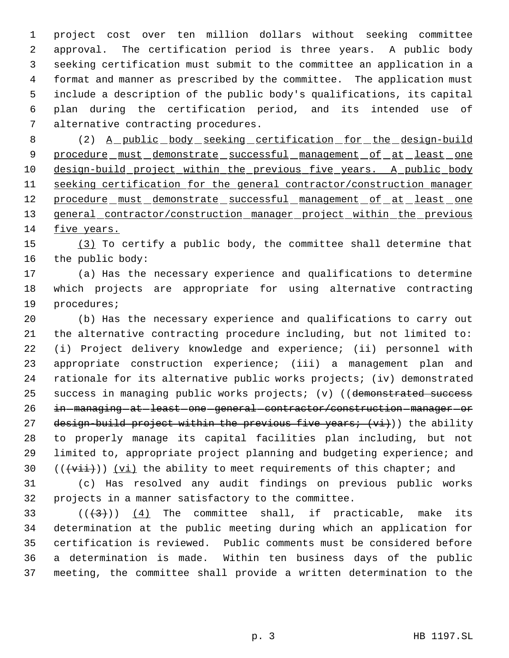project cost over ten million dollars without seeking committee approval. The certification period is three years. A public body seeking certification must submit to the committee an application in a format and manner as prescribed by the committee. The application must include a description of the public body's qualifications, its capital plan during the certification period, and its intended use of alternative contracting procedures.

8 (2) A public body seeking certification for the design-build 9 procedure must demonstrate successful management of at least one design-build project within the previous five years. A public body seeking certification for the general contractor/construction manager 12 procedure must demonstrate successful management of at least one 13 general contractor/construction manager project within the previous five years.

 (3) To certify a public body, the committee shall determine that the public body:

 (a) Has the necessary experience and qualifications to determine which projects are appropriate for using alternative contracting procedures;

 (b) Has the necessary experience and qualifications to carry out the alternative contracting procedure including, but not limited to: (i) Project delivery knowledge and experience; (ii) personnel with appropriate construction experience; (iii) a management plan and rationale for its alternative public works projects; (iv) demonstrated 25 success in managing public works projects; (v) ((demonstrated success 26 in - managing at least one general contractor/construction - manager - or 27 design-build project within the previous five years;  $(vi)$ ) the ability to properly manage its capital facilities plan including, but not limited to, appropriate project planning and budgeting experience; and  $((\overrightarrow{vii}))$   $(vi)$  the ability to meet requirements of this chapter; and

 (c) Has resolved any audit findings on previous public works projects in a manner satisfactory to the committee.

 $((+3))$   $(4)$  The committee shall, if practicable, make its determination at the public meeting during which an application for certification is reviewed. Public comments must be considered before a determination is made. Within ten business days of the public meeting, the committee shall provide a written determination to the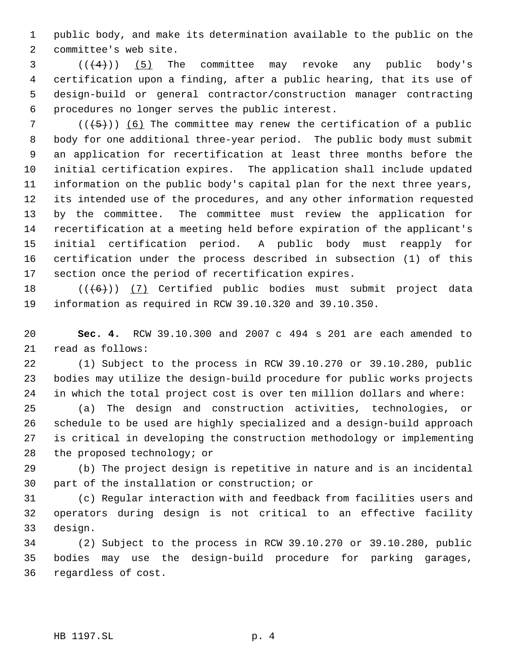public body, and make its determination available to the public on the committee's web site.

 (( $(4)$ )) (5) The committee may revoke any public body's certification upon a finding, after a public hearing, that its use of design-build or general contractor/construction manager contracting procedures no longer serves the public interest.

 $((+5))$  (6) The committee may renew the certification of a public body for one additional three-year period. The public body must submit an application for recertification at least three months before the initial certification expires. The application shall include updated information on the public body's capital plan for the next three years, its intended use of the procedures, and any other information requested by the committee. The committee must review the application for recertification at a meeting held before expiration of the applicant's initial certification period. A public body must reapply for certification under the process described in subsection (1) of this section once the period of recertification expires.

18 (((6)) (7) Certified public bodies must submit project data information as required in RCW 39.10.320 and 39.10.350.

 **Sec. 4.** RCW 39.10.300 and 2007 c 494 s 201 are each amended to read as follows:

 (1) Subject to the process in RCW 39.10.270 or 39.10.280, public bodies may utilize the design-build procedure for public works projects in which the total project cost is over ten million dollars and where:

 (a) The design and construction activities, technologies, or schedule to be used are highly specialized and a design-build approach is critical in developing the construction methodology or implementing 28 the proposed technology; or

 (b) The project design is repetitive in nature and is an incidental part of the installation or construction; or

 (c) Regular interaction with and feedback from facilities users and operators during design is not critical to an effective facility design.

 (2) Subject to the process in RCW 39.10.270 or 39.10.280, public bodies may use the design-build procedure for parking garages, regardless of cost.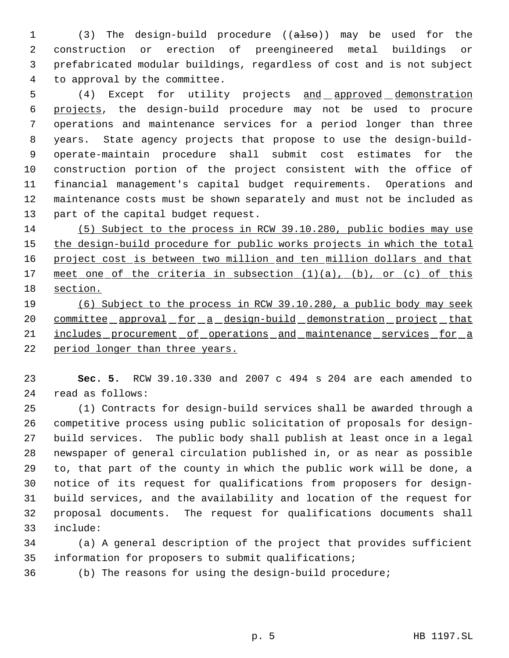1 (3) The design-build procedure ((also)) may be used for the construction or erection of preengineered metal buildings or prefabricated modular buildings, regardless of cost and is not subject to approval by the committee.

5 (4) Except for utility projects and approved demonstration projects, the design-build procedure may not be used to procure operations and maintenance services for a period longer than three years. State agency projects that propose to use the design-build- operate-maintain procedure shall submit cost estimates for the construction portion of the project consistent with the office of financial management's capital budget requirements. Operations and maintenance costs must be shown separately and must not be included as part of the capital budget request.

 (5) Subject to the process in RCW 39.10.280, public bodies may use 15 the design-build procedure for public works projects in which the total 16 project cost is between two million and ten million dollars and that 17 meet one of the criteria in subsection (1)(a), (b), or (c) of this section.

 (6) Subject to the process in RCW 39.10.280, a public body may seek 20 committee approval for a design-build demonstration project that 21 includes procurement of operations and maintenance services for a period longer than three years.

 **Sec. 5.** RCW 39.10.330 and 2007 c 494 s 204 are each amended to read as follows:

 (1) Contracts for design-build services shall be awarded through a competitive process using public solicitation of proposals for design- build services. The public body shall publish at least once in a legal newspaper of general circulation published in, or as near as possible to, that part of the county in which the public work will be done, a notice of its request for qualifications from proposers for design- build services, and the availability and location of the request for proposal documents. The request for qualifications documents shall include:

 (a) A general description of the project that provides sufficient information for proposers to submit qualifications;

(b) The reasons for using the design-build procedure;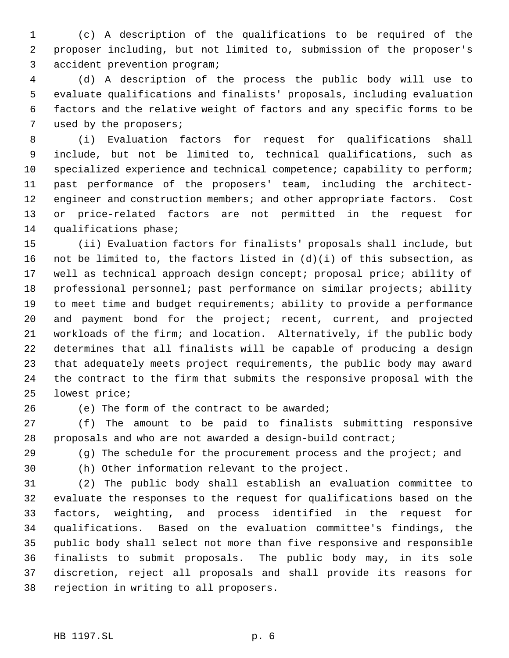(c) A description of the qualifications to be required of the proposer including, but not limited to, submission of the proposer's accident prevention program;

 (d) A description of the process the public body will use to evaluate qualifications and finalists' proposals, including evaluation factors and the relative weight of factors and any specific forms to be used by the proposers;

 (i) Evaluation factors for request for qualifications shall include, but not be limited to, technical qualifications, such as 10 specialized experience and technical competence; capability to perform; past performance of the proposers' team, including the architect-12 engineer and construction members; and other appropriate factors. Cost or price-related factors are not permitted in the request for qualifications phase;

 (ii) Evaluation factors for finalists' proposals shall include, but not be limited to, the factors listed in (d)(i) of this subsection, as well as technical approach design concept; proposal price; ability of professional personnel; past performance on similar projects; ability to meet time and budget requirements; ability to provide a performance and payment bond for the project; recent, current, and projected workloads of the firm; and location. Alternatively, if the public body determines that all finalists will be capable of producing a design that adequately meets project requirements, the public body may award the contract to the firm that submits the responsive proposal with the lowest price;

26 (e) The form of the contract to be awarded;

 (f) The amount to be paid to finalists submitting responsive proposals and who are not awarded a design-build contract;

29 (g) The schedule for the procurement process and the project; and

(h) Other information relevant to the project.

 (2) The public body shall establish an evaluation committee to evaluate the responses to the request for qualifications based on the factors, weighting, and process identified in the request for qualifications. Based on the evaluation committee's findings, the public body shall select not more than five responsive and responsible finalists to submit proposals. The public body may, in its sole discretion, reject all proposals and shall provide its reasons for rejection in writing to all proposers.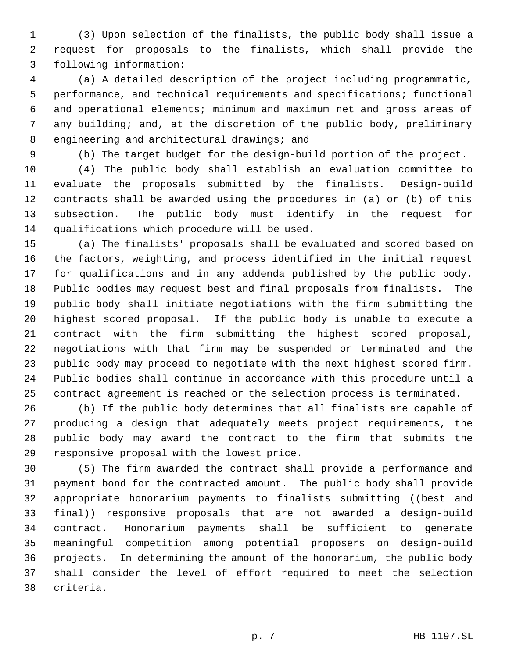(3) Upon selection of the finalists, the public body shall issue a request for proposals to the finalists, which shall provide the following information:

 (a) A detailed description of the project including programmatic, performance, and technical requirements and specifications; functional and operational elements; minimum and maximum net and gross areas of any building; and, at the discretion of the public body, preliminary engineering and architectural drawings; and

(b) The target budget for the design-build portion of the project.

 (4) The public body shall establish an evaluation committee to evaluate the proposals submitted by the finalists. Design-build contracts shall be awarded using the procedures in (a) or (b) of this subsection. The public body must identify in the request for qualifications which procedure will be used.

 (a) The finalists' proposals shall be evaluated and scored based on the factors, weighting, and process identified in the initial request for qualifications and in any addenda published by the public body. Public bodies may request best and final proposals from finalists. The public body shall initiate negotiations with the firm submitting the highest scored proposal. If the public body is unable to execute a contract with the firm submitting the highest scored proposal, negotiations with that firm may be suspended or terminated and the public body may proceed to negotiate with the next highest scored firm. Public bodies shall continue in accordance with this procedure until a contract agreement is reached or the selection process is terminated.

 (b) If the public body determines that all finalists are capable of producing a design that adequately meets project requirements, the public body may award the contract to the firm that submits the responsive proposal with the lowest price.

 (5) The firm awarded the contract shall provide a performance and payment bond for the contracted amount. The public body shall provide 32 appropriate honorarium payments to finalists submitting ((best-and 33 final)) responsive proposals that are not awarded a design-build contract. Honorarium payments shall be sufficient to generate meaningful competition among potential proposers on design-build projects. In determining the amount of the honorarium, the public body shall consider the level of effort required to meet the selection criteria.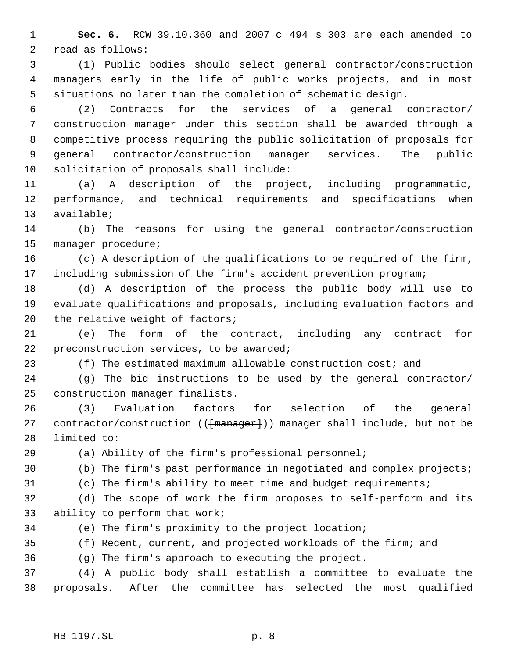**Sec. 6.** RCW 39.10.360 and 2007 c 494 s 303 are each amended to read as follows:

 (1) Public bodies should select general contractor/construction managers early in the life of public works projects, and in most situations no later than the completion of schematic design.

 (2) Contracts for the services of a general contractor/ construction manager under this section shall be awarded through a competitive process requiring the public solicitation of proposals for general contractor/construction manager services. The public solicitation of proposals shall include:

 (a) A description of the project, including programmatic, performance, and technical requirements and specifications when available;

 (b) The reasons for using the general contractor/construction manager procedure;

 (c) A description of the qualifications to be required of the firm, including submission of the firm's accident prevention program;

 (d) A description of the process the public body will use to evaluate qualifications and proposals, including evaluation factors and 20 the relative weight of factors;

 (e) The form of the contract, including any contract for 22 preconstruction services, to be awarded;

(f) The estimated maximum allowable construction cost; and

 (g) The bid instructions to be used by the general contractor/ construction manager finalists.

 (3) Evaluation factors for selection of the general 27 contractor/construction (( $\{\text{manager}\}\)$ ) manager shall include, but not be limited to:

(a) Ability of the firm's professional personnel;

(b) The firm's past performance in negotiated and complex projects;

(c) The firm's ability to meet time and budget requirements;

 (d) The scope of work the firm proposes to self-perform and its ability to perform that work;

(e) The firm's proximity to the project location;

(f) Recent, current, and projected workloads of the firm; and

(g) The firm's approach to executing the project.

 (4) A public body shall establish a committee to evaluate the proposals. After the committee has selected the most qualified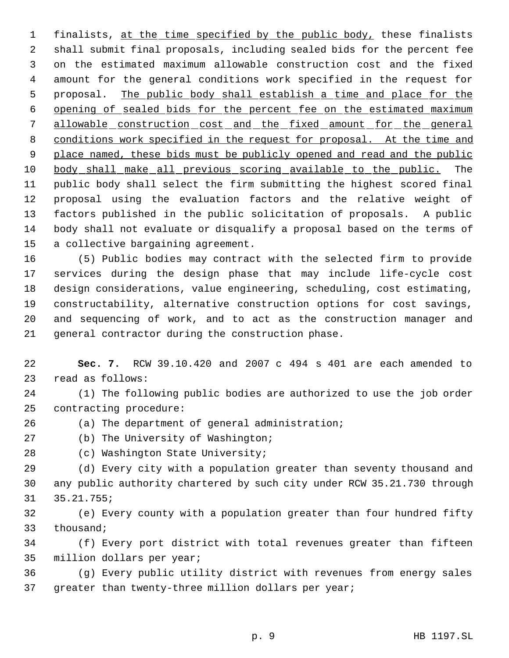1 finalists, at the time specified by the public body, these finalists shall submit final proposals, including sealed bids for the percent fee on the estimated maximum allowable construction cost and the fixed amount for the general conditions work specified in the request for 5 proposal. The public body shall establish a time and place for the opening of sealed bids for the percent fee on the estimated maximum allowable construction cost and the fixed amount for the general conditions work specified in the request for proposal. At the time and 9 place named, these bids must be publicly opened and read and the public body shall make all previous scoring available to the public. The public body shall select the firm submitting the highest scored final proposal using the evaluation factors and the relative weight of factors published in the public solicitation of proposals. A public body shall not evaluate or disqualify a proposal based on the terms of a collective bargaining agreement.

 (5) Public bodies may contract with the selected firm to provide services during the design phase that may include life-cycle cost design considerations, value engineering, scheduling, cost estimating, constructability, alternative construction options for cost savings, and sequencing of work, and to act as the construction manager and general contractor during the construction phase.

 **Sec. 7.** RCW 39.10.420 and 2007 c 494 s 401 are each amended to read as follows:

 (1) The following public bodies are authorized to use the job order contracting procedure:

(a) The department of general administration;

(b) The University of Washington;

(c) Washington State University;

 (d) Every city with a population greater than seventy thousand and any public authority chartered by such city under RCW 35.21.730 through 35.21.755;

 (e) Every county with a population greater than four hundred fifty thousand;

 (f) Every port district with total revenues greater than fifteen million dollars per year;

 (g) Every public utility district with revenues from energy sales greater than twenty-three million dollars per year;